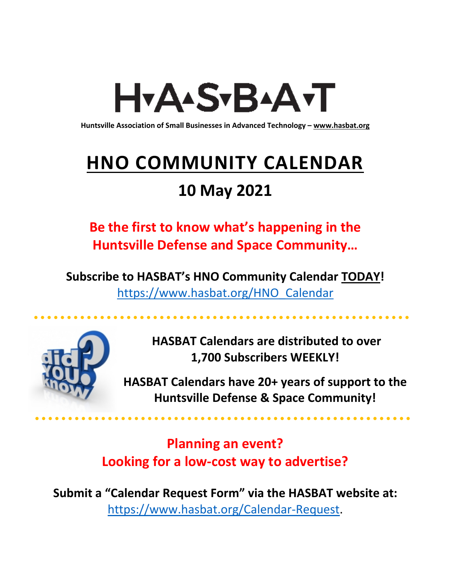# H<sub>Y</sub>AASTBAATT

**Huntsville Association of Small Businesses in Advanced Technology – [www.hasbat.org](http://www.hasbat.org/)**

# **HNO COMMUNITY CALENDAR**

# **10 May 2021**

**Be the first to know what's happening in the Huntsville Defense and Space Community…** 

**Subscribe to HASBAT's HNO Community Calendar TODAY!**  [https://www.hasbat.org/HNO\\_Calendar](https://www.hasbat.org/HNO_Calendar)



**HASBAT Calendars are distributed to over 1,700 Subscribers WEEKLY!**

**HASBAT Calendars have 20+ years of support to the Huntsville Defense & Space Community!** 

**Planning an event? Looking for a low-cost way to advertise?**

**Submit a "Calendar Request Form" via the HASBAT website at:**  [https://www.hasbat.org/Calendar-Request.](https://www.hasbat.org/Calendar-Request)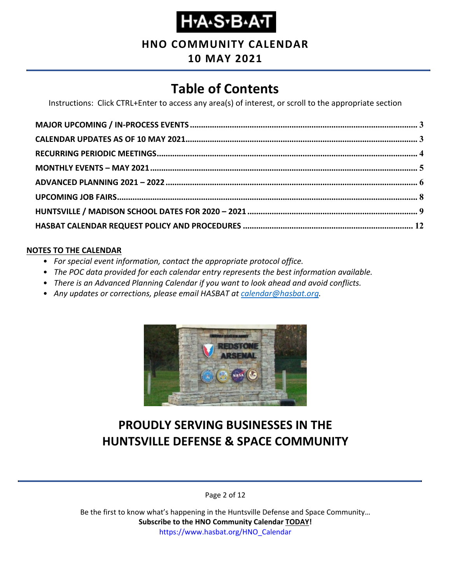**HNO COMMUNITY CALENDAR**

# **10 MAY 2021**

# **Table of Contents**

Instructions: Click CTRL+Enter to access any area(s) of interest, or scroll to the appropriate section

#### **NOTES TO THE CALENDAR**

- *For special event information, contact the appropriate protocol office.*
- *The POC data provided for each calendar entry represents the best information available.*
- *There is an Advanced Planning Calendar if you want to look ahead and avoid conflicts.*
- *Any updates or corrections, please email HASBAT at [calendar@hasbat.org.](mailto:calendar@hasbat.org)*



# **PROUDLY SERVING BUSINESSES IN THE HUNTSVILLE DEFENSE & SPACE COMMUNITY**

Page 2 of 12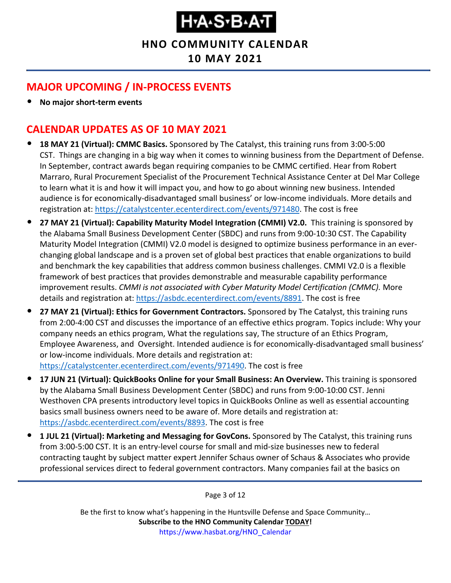**HNO COMMUNITY CALENDAR**

**10 MAY 2021**

# <span id="page-2-0"></span>**MAJOR UPCOMING / IN-PROCESS EVENTS**

• **No major short-term events**

### <span id="page-2-1"></span>**CALENDAR UPDATES AS OF 10 MAY 2021**

- **18 MAY 21 (Virtual): CMMC Basics.** Sponsored by The Catalyst, this training runs from 3:00-5:00 CST. Things are changing in a big way when it comes to winning business from the Department of Defense. In September, contract awards began requiring companies to be CMMC certified. Hear from Robert Marraro, Rural Procurement Specialist of the Procurement Technical Assistance Center at Del Mar College to learn what it is and how it will impact you, and how to go about winning new business. Intended audience is for economically-disadvantaged small business' or low-income individuals. More details and registration at: [https://catalystcenter.ecenterdirect.com/events/971480.](https://catalystcenter.ecenterdirect.com/events/971480) The cost is free
- **27 MAY 21 (Virtual): Capability Maturity Model Integration (CMMI) V2.0.** This training is sponsored by the Alabama Small Business Development Center (SBDC) and runs from 9:00-10:30 CST. The Capability Maturity Model Integration (CMMI) V2.0 model is designed to optimize business performance in an everchanging global landscape and is a proven set of global best practices that enable organizations to build and benchmark the key capabilities that address common business challenges. CMMI V2.0 is a flexible framework of best practices that provides demonstrable and measurable capability performance improvement results. *CMMI is not associated with Cyber Maturity Model Certification (CMMC).* More details and registration at: [https://asbdc.ecenterdirect.com/events/8891.](https://asbdc.ecenterdirect.com/events/8891) The cost is free
- **27 MAY 21 (Virtual): Ethics for Government Contractors.** Sponsored by The Catalyst, this training runs from 2:00-4:00 CST and discusses the importance of an effective ethics program. Topics include: Why your company needs an ethics program, What the regulations say, The structure of an Ethics Program, Employee Awareness, and Oversight. Intended audience is for economically-disadvantaged small business' or low-income individuals. More details and registration at: [https://catalystcenter.ecenterdirect.com/events/971490.](https://catalystcenter.ecenterdirect.com/events/971490) The cost is free
- **17 JUN 21 (Virtual): QuickBooks Online for your Small Business: An Overview.** This training is sponsored by the Alabama Small Business Development Center (SBDC) and runs from 9:00-10:00 CST. Jenni Westhoven CPA presents introductory level topics in QuickBooks Online as well as essential accounting basics small business owners need to be aware of. More details and registration at: [https://asbdc.ecenterdirect.com/events/8893.](https://asbdc.ecenterdirect.com/events/8893) The cost is free
- **1 JUL 21 (Virtual): Marketing and Messaging for GovCons.** Sponsored by The Catalyst, this training runs from 3:00-5:00 CST. It is an entry-level course for small and mid-size businesses new to federal contracting taught by subject matter expert Jennifer Schaus owner of Schaus & Associates who provide professional services direct to federal government contractors. Many companies fail at the basics on

Page 3 of 12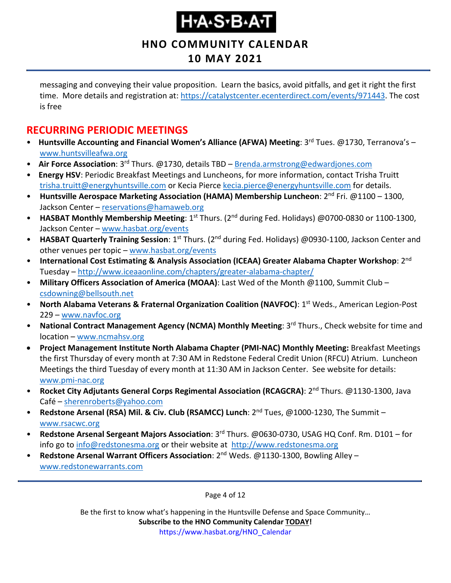# ҤӔӔӠ҂Ҍ҄ѧӢ

**HNO COMMUNITY CALENDAR**

# **10 MAY 2021**

messaging and conveying their value proposition. Learn the basics, avoid pitfalls, and get it right the first time. More details and registration at: [https://catalystcenter.ecenterdirect.com/events/971443.](https://catalystcenter.ecenterdirect.com/events/971443) The cost is free

### <span id="page-3-0"></span>**RECURRING PERIODIC MEETINGS**

- Huntsville Accounting and Financial Women's Alliance (AFWA) Meeting: 3<sup>rd</sup> Tues. @1730, Terranova's [www.huntsvilleafwa.org](http://www.huntsvilleafwa.org/)
- **Air Force Association**: 3rd Thurs. @1730, details TBD [Brenda.armstrong@edwardjones.com](mailto:Brenda.armstrong@edwardjones.com)
- **Energy HSV**: Periodic Breakfast Meetings and Luncheons, for more information, contact Trisha Truitt [trisha.truitt@energyhuntsville.com](mailto:trisha.truitt@energyhuntsville.com) or Kecia Pierce [kecia.pierce@energyhuntsville.com](mailto:kecia.pierce@energyhuntsville.com) for details.
- Huntsville Aerospace Marketing Association (HAMA) Membership Luncheon: 2<sup>nd</sup> Fri. @1100 1300, Jackson Center – [reservations@hamaweb.org](mailto:reservations@hamaweb.org)
- HASBAT Monthly Membership Meeting: 1<sup>st</sup> Thurs. (2<sup>nd</sup> during Fed. Holidays) @0700-0830 or 1100-1300, Jackson Center – [www.hasbat.org/events](http://www.hasbat.org/events)
- **HASBAT Quarterly Training Session**: 1<sup>st</sup> Thurs. (2<sup>nd</sup> during Fed. Holidays) @0930-1100, Jackson Center and other venues per topic – [www.hasbat.org/events](http://www.hasbat.org/events)
- **International Cost Estimating & Analysis Association (ICEAA) Greater Alabama Chapter Workshop**: 2nd Tuesday – <http://www.iceaaonline.com/chapters/greater-alabama-chapter/>
- **Military Officers Association of America (MOAA)**: Last Wed of the Month @1100, Summit Club [csdowning@bellsouth.net](mailto:csdowning@bellsouth.net)
- **North Alabama Veterans & Fraternal Organization Coalition (NAVFOC)**: 1st Weds., American Legion-Post 229 – [www.navfoc.org](http://www.navfoc.org/)
- **National Contract Management Agency (NCMA) Monthly Meeting**: 3rd Thurs., Check website for time and location – [www.ncmahsv.org](http://www.ncmahsv.org/)
- **Project Management Institute North Alabama Chapter (PMI-NAC) Monthly Meeting:** Breakfast Meetings the first Thursday of every month at 7:30 AM in Redstone Federal Credit Union (RFCU) Atrium. Luncheon Meetings the third Tuesday of every month at 11:30 AM in Jackson Center. See website for details: [www.pmi-nac.org](http://www.pmi-nac.org/)
- **Rocket City Adjutants General Corps Regimental Association (RCAGCRA)**: 2nd Thurs. @1130-1300, Java Café – [sherenroberts@yahoo.com](mailto:sherenroberts@yahoo.com)
- **Redstone Arsenal (RSA) Mil. & Civ. Club (RSAMCC) Lunch**: 2nd Tues, @1000-1230, The Summit [www.rsacwc.org](http://www.rsacwc.org/)
- **Redstone Arsenal Sergeant Majors Association**: 3rd Thurs. @0630-0730, USAG HQ Conf. Rm. D101 for info go to [info@redstonesma.org](mailto:info@redstonesma.org) or their website at [http://www.redstonesma.org](http://www.redstonesma.org/)
- **Redstone Arsenal Warrant Officers Association**: 2nd Weds. @1130-1300, Bowling Alley [www.redstonewarrants.com](http://www.redstonewarrants.com/)

Page 4 of 12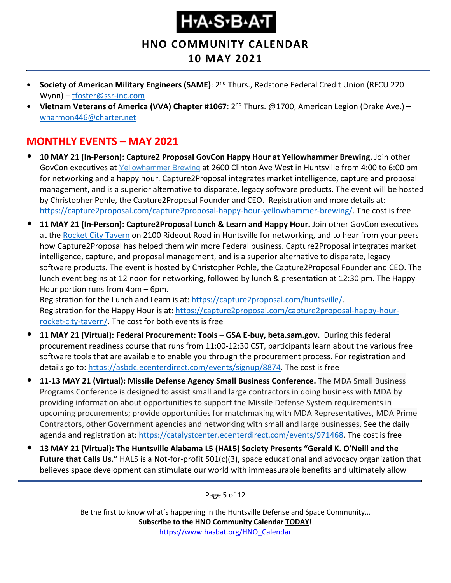**HNO COMMUNITY CALENDAR**

### **10 MAY 2021**

- **Society of American Military Engineers (SAME)**: 2nd Thurs., Redstone Federal Credit Union (RFCU 220 Wynn) – [tfoster@ssr-inc.com](mailto:tfoster@ssr-inc.com)
- **Vietnam Veterans of America (VVA) Chapter #1067**: 2nd Thurs. @1700, American Legion (Drake Ave.) [wharmon446@charter.net](mailto:wharmon446@charter.net)

### <span id="page-4-0"></span>**MONTHLY EVENTS – MAY 2021**

- **10 MAY 21 (In-Person): Capture2 Proposal GovCon Happy Hour at Yellowhammer Brewing.** Join other GovCon executives at [Yellowhammer](https://www.yellowhammerbrewery.com/) Brewing at 2600 Clinton Ave West in Huntsville from 4:00 to 6:00 pm for networking and a happy hour. Capture2Proposal integrates market intelligence, capture and proposal management, and is a superior alternative to disparate, legacy software products. The event will be hosted by Christopher Pohle, the Capture2Proposal Founder and CEO. Registration and more details at: [https://capture2proposal.com/capture2proposal-happy-hour-yellowhammer-brewing/.](https://capture2proposal.com/capture2proposal-happy-hour-yellowhammer-brewing/) The cost is free
- **11 MAY 21 (In-Person): Capture2Proposal Lunch & Learn and Happy Hour.** Join other GovCon executives at the [Rocket City Tavern](https://www.rocketcitytavern.com/) on 2100 Rideout Road in Huntsville for networking, and to hear from your peers how Capture2Proposal has helped them win more Federal business. Capture2Proposal integrates market intelligence, capture, and proposal management, and is a superior alternative to disparate, legacy software products. The event is hosted by Christopher Pohle, the Capture2Proposal Founder and CEO. The lunch event begins at 12 noon for networking, followed by lunch & presentation at 12:30 pm. The Happy Hour portion runs from 4pm – 6pm.

Registration for the Lunch and Learn is at: [https://capture2proposal.com/huntsville/.](https://capture2proposal.com/huntsville/) Registration for the Happy Hour is at: [https://capture2proposal.com/capture2proposal-happy-hour](https://capture2proposal.com/capture2proposal-happy-hour-rocket-city-tavern/)[rocket-city-tavern/.](https://capture2proposal.com/capture2proposal-happy-hour-rocket-city-tavern/) The cost for both events is free

- **11 MAY 21 (Virtual): Federal Procurement: Tools – GSA E-buy, beta.sam.gov.** During this federal procurement readiness course that runs from 11:00-12:30 CST, participants learn about the various free software tools that are available to enable you through the procurement process. For registration and details go to: [https://asbdc.ecenterdirect.com/events/signup/8874.](https://asbdc.ecenterdirect.com/events/signup/8874) The cost is free
- **11-13 MAY 21 (Virtual): Missile Defense Agency Small Business Conference.** The MDA Small Business Programs Conference is designed to assist small and large contractors in doing business with MDA by providing information about opportunities to support the Missile Defense System requirements in upcoming procurements; provide opportunities for matchmaking with MDA Representatives, MDA Prime Contractors, other Government agencies and networking with small and large businesses. See the daily agenda and registration at: [https://catalystcenter.ecenterdirect.com/events/971468.](https://catalystcenter.ecenterdirect.com/events/971468) The cost is free
- **13 MAY 21 (Virtual): The Huntsville Alabama L5 (HAL5) Society Presents "Gerald K. O'Neill and the Future that Calls Us."** HAL5 is a Not-for-profit 501(c)(3), space educational and advocacy organization that believes space development can stimulate our world with immeasurable benefits and ultimately allow

Page 5 of 12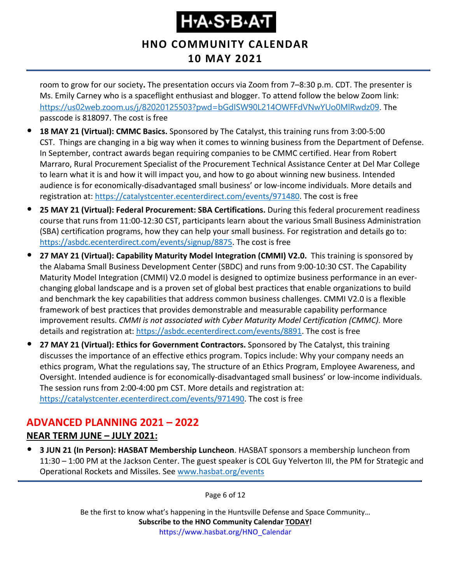#### **HNO COMMUNITY CALENDAR 10 MAY 2021**

room to grow for our society**.** The presentation occurs via Zoom from 7–8:30 p.m. CDT. The presenter is Ms. Emily Carney who is a spaceflight enthusiast and blogger. To attend follow the below Zoom link: <https://us02web.zoom.us/j/82020125503?pwd=bGdISW90L214OWFFdVNwYUo0MlRwdz09>. The passcode is 818097. The cost is free

- **18 MAY 21 (Virtual): CMMC Basics.** Sponsored by The Catalyst, this training runs from 3:00-5:00 CST. Things are changing in a big way when it comes to winning business from the Department of Defense. In September, contract awards began requiring companies to be CMMC certified. Hear from Robert Marraro, Rural Procurement Specialist of the Procurement Technical Assistance Center at Del Mar College to learn what it is and how it will impact you, and how to go about winning new business. Intended audience is for economically-disadvantaged small business' or low-income individuals. More details and registration at: [https://catalystcenter.ecenterdirect.com/events/971480.](https://catalystcenter.ecenterdirect.com/events/971480) The cost is free
- **25 MAY 21 (Virtual): Federal Procurement: SBA Certifications.** During this federal procurement readiness course that runs from 11:00-12:30 CST, participants learn about the various Small Business Administration (SBA) certification programs, how they can help your small business. For registration and details go to: [https://asbdc.ecenterdirect.com/events/signup/8875.](https://asbdc.ecenterdirect.com/events/signup/8875) The cost is free
- **27 MAY 21 (Virtual): Capability Maturity Model Integration (CMMI) V2.0.** This training is sponsored by the Alabama Small Business Development Center (SBDC) and runs from 9:00-10:30 CST. The Capability Maturity Model Integration (CMMI) V2.0 model is designed to optimize business performance in an everchanging global landscape and is a proven set of global best practices that enable organizations to build and benchmark the key capabilities that address common business challenges. CMMI V2.0 is a flexible framework of best practices that provides demonstrable and measurable capability performance improvement results. *CMMI is not associated with Cyber Maturity Model Certification (CMMC).* More details and registration at: [https://asbdc.ecenterdirect.com/events/8891.](https://asbdc.ecenterdirect.com/events/8891) The cost is free
- **27 MAY 21 (Virtual): Ethics for Government Contractors.** Sponsored by The Catalyst, this training discusses the importance of an effective ethics program. Topics include: Why your company needs an ethics program, What the regulations say, The structure of an Ethics Program, Employee Awareness, and Oversight. Intended audience is for economically-disadvantaged small business' or low-income individuals. The session runs from 2:00-4:00 pm CST. More details and registration at: [https://catalystcenter.ecenterdirect.com/events/971490.](https://catalystcenter.ecenterdirect.com/events/971490) The cost is free

### <span id="page-5-0"></span>**ADVANCED PLANNING 2021 – 2022**

#### **NEAR TERM JUNE – JULY 2021:**

• **3 JUN 21 (In Person): HASBAT Membership Luncheon**. HASBAT sponsors a membership luncheon from 11:30 – 1:00 PM at the Jackson Center. The guest speaker is COL Guy Yelverton III, the PM for Strategic and Operational Rockets and Missiles. See [www.hasbat.org/events](http://www.hasbat.org/events)

Page 6 of 12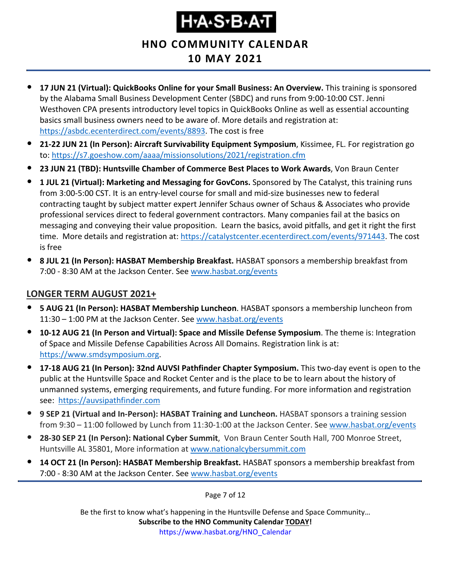**HNO COMMUNITY CALENDAR**

# **10 MAY 2021**

- **17 JUN 21 (Virtual): QuickBooks Online for your Small Business: An Overview.** This training is sponsored by the Alabama Small Business Development Center (SBDC) and runs from 9:00-10:00 CST. Jenni Westhoven CPA presents introductory level topics in QuickBooks Online as well as essential accounting basics small business owners need to be aware of. More details and registration at: [https://asbdc.ecenterdirect.com/events/8893.](https://asbdc.ecenterdirect.com/events/8893) The cost is free
- **21-22 JUN 21 (In Person): Aircraft Survivability Equipment Symposium**, Kissimee, FL. For registration go to:<https://s7.goeshow.com/aaaa/missionsolutions/2021/registration.cfm>
- **23 JUN 21 (TBD): Huntsville Chamber of Commerce Best Places to Work Awards**, Von Braun Center
- **1 JUL 21 (Virtual): Marketing and Messaging for GovCons.** Sponsored by The Catalyst, this training runs from 3:00-5:00 CST. It is an entry-level course for small and mid-size businesses new to federal contracting taught by subject matter expert Jennifer Schaus owner of Schaus & Associates who provide professional services direct to federal government contractors. Many companies fail at the basics on messaging and conveying their value proposition. Learn the basics, avoid pitfalls, and get it right the first time. More details and registration at: [https://catalystcenter.ecenterdirect.com/events/971443.](https://catalystcenter.ecenterdirect.com/events/971443) The cost is free
- **8 JUL 21 (In Person): HASBAT Membership Breakfast.** HASBAT sponsors a membership breakfast from 7:00 - 8:30 AM at the Jackson Center. See [www.hasbat.org/events](http://www.hasbat.org/events)

#### **LONGER TERM AUGUST 2021+**

- **5 AUG 21 (In Person): HASBAT Membership Luncheon**. HASBAT sponsors a membership luncheon from 11:30 – 1:00 PM at the Jackson Center. See [www.hasbat.org/events](http://www.hasbat.org/events)
- **10-12 AUG 21 (In Person and Virtual): Space and Missile Defense Symposium**. The theme is: Integration of Space and Missile Defense Capabilities Across All Domains. Registration link is at: [https://www.smdsymposium.org.](https://www.smdsymposium.org/)
- **17-18 AUG 21 (In Person): 32nd AUVSI Pathfinder Chapter Symposium.** This two-day event is open to the public at the Huntsville Space and Rocket Center and is the place to be to learn about the history of unmanned systems, emerging requirements, and future funding. For more information and registration see: [https://auvsipathfinder.com](https://auvsipathfinder.com/)
- **9 SEP 21 (Virtual and In-Person): HASBAT Training and Luncheon.** HASBAT sponsors a training session from 9:30 – 11:00 followed by Lunch from 11:30-1:00 at the Jackson Center. See [www.hasbat.org/events](http://www.hasbat.org/events)
- **28-30 SEP 21 (In Person): National Cyber Summit**, Von Braun Center South Hall, 700 Monroe Street, Huntsville AL 35801, More information at [www.nationalcybersummit.com](http://www.nationalcybersummit.com/)
- **14 OCT 21 (In Person): HASBAT Membership Breakfast.** HASBAT sponsors a membership breakfast from 7:00 - 8:30 AM at the Jackson Center. See [www.hasbat.org/events](http://www.hasbat.org/events)

Page 7 of 12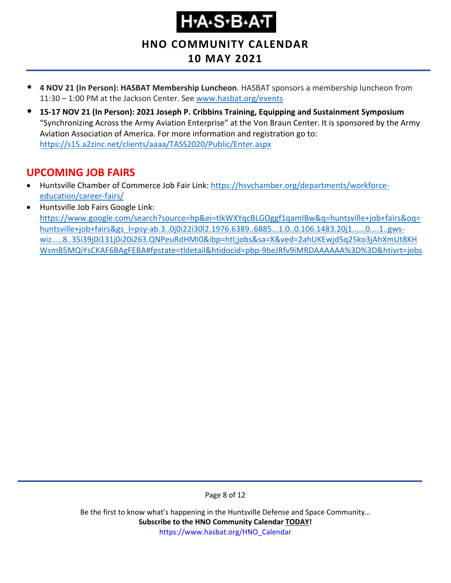# ҤѦӠѵЪѦ

**HNO COMMUNITY CALENDAR**

### **10 MAY 2021**

- **4 NOV 21 (In Person): HASBAT Membership Luncheon**. HASBAT sponsors a membership luncheon from 11:30 – 1:00 PM at the Jackson Center. See [www.hasbat.org/events](http://www.hasbat.org/events)
- **15-17 NOV 21 (In Person): 2021 Joseph P. Cribbins Training, Equipping and Sustainment Symposium** "Synchronizing Across the Army Aviation Enterprise" at the Von Braun Center. It is sponsored by the Army Aviation Association of America. For more information and registration go to: <https://s15.a2zinc.net/clients/aaaa/TASS2020/Public/Enter.aspx>

### <span id="page-7-0"></span>**UPCOMING JOB FAIRS**

- Huntsville Chamber of Commerce Job Fair Link: [https://hsvchamber.org/departments/workforce](https://hsvchamber.org/departments/workforce-education/career-fairs/)[education/career-fairs/](https://hsvchamber.org/departments/workforce-education/career-fairs/)
- Huntsville Job Fairs Google Link: [https://www.google.com/search?source=hp&ei=tIkWXYqcBLGOggf1qamIBw&q=huntsville+job+fairs&oq=](https://www.google.com/search?source=hp&ei=tIkWXYqcBLGOggf1qamIBw&q=huntsville+job+fairs&oq=huntsville+job+fairs&gs_l=psy-ab.3..0j0i22i30l2.1976.6389..6885...1.0..0.106.1483.20j1......0....1..gws-wiz.....8..35i39j0i131j0i20i263.QNPeuRdHMI0&ibp=htl;jobs&sa=X&ved=2ahUKEwjd5q25ko3jAhXmUt8KHWsmB5MQiYsCKAF6BAgFEBA#fpstate=tldetail&htidocid=pbp-9beJRfv9iMRDAAAAAA%3D%3D&htivrt=jobs) [huntsville+job+fairs&gs\\_l=psy-ab.3..0j0i22i30l2.1976.6389..6885...1.0..0.106.1483.20j1......0....1..gws](https://www.google.com/search?source=hp&ei=tIkWXYqcBLGOggf1qamIBw&q=huntsville+job+fairs&oq=huntsville+job+fairs&gs_l=psy-ab.3..0j0i22i30l2.1976.6389..6885...1.0..0.106.1483.20j1......0....1..gws-wiz.....8..35i39j0i131j0i20i263.QNPeuRdHMI0&ibp=htl;jobs&sa=X&ved=2ahUKEwjd5q25ko3jAhXmUt8KHWsmB5MQiYsCKAF6BAgFEBA#fpstate=tldetail&htidocid=pbp-9beJRfv9iMRDAAAAAA%3D%3D&htivrt=jobs)[wiz.....8..35i39j0i131j0i20i263.QNPeuRdHMI0&ibp=htl;jobs&sa=X&ved=2ahUKEwjd5q25ko3jAhXmUt8KH](https://www.google.com/search?source=hp&ei=tIkWXYqcBLGOggf1qamIBw&q=huntsville+job+fairs&oq=huntsville+job+fairs&gs_l=psy-ab.3..0j0i22i30l2.1976.6389..6885...1.0..0.106.1483.20j1......0....1..gws-wiz.....8..35i39j0i131j0i20i263.QNPeuRdHMI0&ibp=htl;jobs&sa=X&ved=2ahUKEwjd5q25ko3jAhXmUt8KHWsmB5MQiYsCKAF6BAgFEBA#fpstate=tldetail&htidocid=pbp-9beJRfv9iMRDAAAAAA%3D%3D&htivrt=jobs) [WsmB5MQiYsCKAF6BAgFEBA#fpstate=tldetail&htidocid=pbp-9beJRfv9iMRDAAAAAA%3D%3D&htivrt=jobs](https://www.google.com/search?source=hp&ei=tIkWXYqcBLGOggf1qamIBw&q=huntsville+job+fairs&oq=huntsville+job+fairs&gs_l=psy-ab.3..0j0i22i30l2.1976.6389..6885...1.0..0.106.1483.20j1......0....1..gws-wiz.....8..35i39j0i131j0i20i263.QNPeuRdHMI0&ibp=htl;jobs&sa=X&ved=2ahUKEwjd5q25ko3jAhXmUt8KHWsmB5MQiYsCKAF6BAgFEBA#fpstate=tldetail&htidocid=pbp-9beJRfv9iMRDAAAAAA%3D%3D&htivrt=jobs)

Page 8 of 12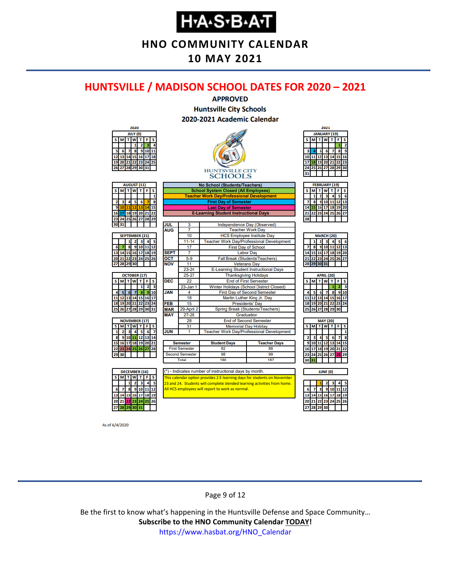**HNO COMMUNITY CALENDAR**

#### **10 MAY 2021**

#### <span id="page-8-0"></span>**HUNTSVILLE / MADISON SCHOOL DATES FOR 2020 – 2021**



As of 6/4/2020

#### Page 9 of 12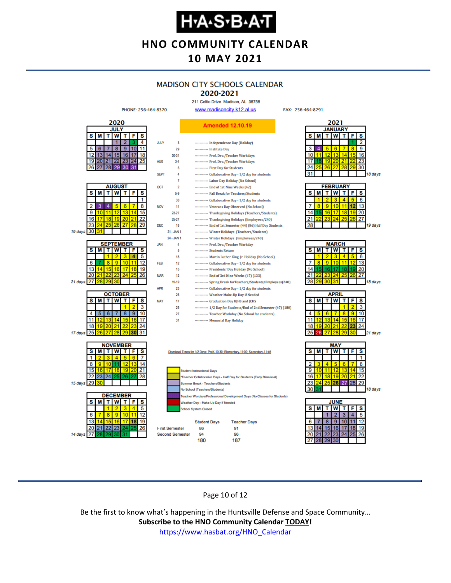**HNO COMMUNITY CALENDAR**

#### **10 MAY 2021**

#### **MADISON CITY SCHOOLS CALENDAR**

2020-2021 211 Celtic Drive Madison, AL 35758

FAX: 256-464-8291



Page 10 of 12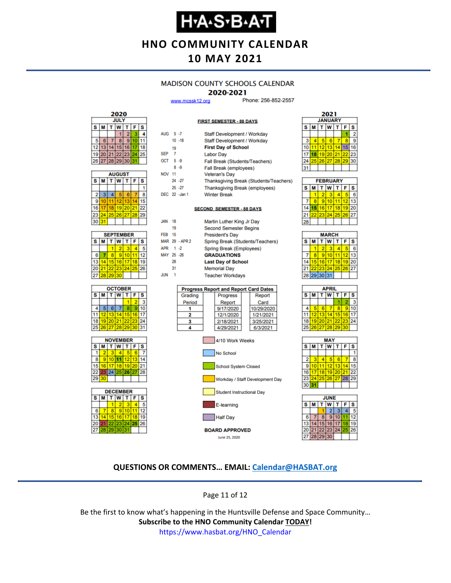# **Н-А-S-В-А-Т**

**HNO COMMUNITY CALENDAR**

#### **10 MAY 2021**

#### **MADISON COUNTY SCHOOLS CALENDAR**

#### 2020-2021

**FIRST SEMESTER - 88 DAYS** 

www.mcssk12.org

Phone: 256-852-2557

| 2020                  |    |    |                   |    |    |    |  |  |
|-----------------------|----|----|-------------------|----|----|----|--|--|
| <b>JULY</b>           |    |    |                   |    |    |    |  |  |
| F<br>S<br>W<br>s<br>М |    |    |                   |    |    |    |  |  |
|                       |    |    |                   | 2  |    |    |  |  |
| 5                     | 6  |    | 8                 | ۰  | Ю  |    |  |  |
| 12                    | 13 | 14 | 15                | 16 |    | 18 |  |  |
| 19                    |    |    | 20 21 22 23       |    | 24 | 25 |  |  |
|                       |    |    | 26 27 28 29 30 31 |    |    |    |  |  |

|    | <b>AUGUST</b> |    |       |    |    |    |  |  |  |
|----|---------------|----|-------|----|----|----|--|--|--|
| S  | м             |    | W     |    | F  | S  |  |  |  |
|    |               |    |       |    |    |    |  |  |  |
| 2  | 3             |    | 5     | 6  |    | я  |  |  |  |
| 9  | 10            |    | 12    | 13 |    | 15 |  |  |  |
| 16 |               | 18 | 19    | 20 | 21 | 22 |  |  |  |
| 23 | 24            |    | 25 26 | 27 | 28 | 29 |  |  |  |
| 30 | 31            |    |       |    |    |    |  |  |  |

| <b>SEPTEMBER</b> |                            |    |             |   |    |    |  |  |
|------------------|----------------------------|----|-------------|---|----|----|--|--|
| s                | W<br>F<br>S<br>т<br>т<br>М |    |             |   |    |    |  |  |
|                  |                            |    | 2           | з |    |    |  |  |
| 6                |                            | ۹  | ٥           |   |    | 12 |  |  |
| 13               |                            | 15 | 16          |   | ۱g | 19 |  |  |
| 20               |                            |    | 21 22 23 24 |   | 25 | 26 |  |  |
| 27               | 28                         | 29 | 30          |   |    |    |  |  |

| <b>OCTOBER</b> |                 |                 |             |    |       |                         |  |  |
|----------------|-----------------|-----------------|-------------|----|-------|-------------------------|--|--|
| s              | м               |                 | W           |    | F     | $\overline{\mathbf{s}}$ |  |  |
|                |                 |                 |             |    |       | з                       |  |  |
|                | 5               | 6               |             | ۰  | 9     | 10                      |  |  |
|                | 12 <sub>1</sub> | 13 <sup>1</sup> | 14          | 15 | 16    | 17                      |  |  |
| 18             |                 |                 | 19 20 21 22 |    | 23    | 24                      |  |  |
| 25             | 26              |                 | 27 28 29    |    | 30 31 |                         |  |  |





| AUG 5-7       |                |                | Staff Development / Workday                  |            |  |  |  |  |  |  |
|---------------|----------------|----------------|----------------------------------------------|------------|--|--|--|--|--|--|
|               |                | $10 - 18$      | Staff Development / Workday                  |            |  |  |  |  |  |  |
|               | 19             |                | <b>First Day of School</b>                   |            |  |  |  |  |  |  |
| <b>SEP</b>    | $\overline{7}$ |                | <b>Labor Day</b>                             |            |  |  |  |  |  |  |
| OCT 5-9       |                |                | Fall Break (Students/Teachers)               |            |  |  |  |  |  |  |
|               |                | $8 - 9$        | Fall Break (employees)                       |            |  |  |  |  |  |  |
| <b>NOV 11</b> |                |                | <b>Veteran's Day</b>                         |            |  |  |  |  |  |  |
|               |                | 24 - 27        | Thanksgiving Break (Students/Teachers)       |            |  |  |  |  |  |  |
|               |                | $25 - 27$      | Thanksgiving Break (employees)               |            |  |  |  |  |  |  |
|               |                | DEC 22 -Jan 1  | <b>Winter Break</b>                          |            |  |  |  |  |  |  |
|               |                |                |                                              |            |  |  |  |  |  |  |
|               |                |                | <b>SECOND SEMESTER - 88 DAYS</b>             |            |  |  |  |  |  |  |
| JAN           | 18             |                | Martin Luther King Jr Day                    |            |  |  |  |  |  |  |
|               | 19             |                | <b>Second Semester Begins</b>                |            |  |  |  |  |  |  |
| <b>FEB</b> 15 |                |                | <b>President's Day</b>                       |            |  |  |  |  |  |  |
|               |                | MAR 29 - APR 2 | Spring Break (Students/Teachers)             |            |  |  |  |  |  |  |
| APR 1 -2      |                |                | Spring Break (Employees)                     |            |  |  |  |  |  |  |
| MAY 25 -26    |                |                | <b>GRADUATIONS</b>                           |            |  |  |  |  |  |  |
|               | 28             |                | <b>Last Day of School</b>                    |            |  |  |  |  |  |  |
|               | 31             |                | <b>Memorial Day</b>                          |            |  |  |  |  |  |  |
| <b>JUN</b>    | 1              |                | <b>Teacher Workdays</b>                      |            |  |  |  |  |  |  |
|               |                |                |                                              |            |  |  |  |  |  |  |
|               |                |                | <b>Progress Report and Report Card Dates</b> |            |  |  |  |  |  |  |
|               |                | Grading        | Progress                                     | Report     |  |  |  |  |  |  |
|               |                | Period         | Report                                       | Card       |  |  |  |  |  |  |
|               |                | 1              | 9/17/2020                                    | 10/29/2020 |  |  |  |  |  |  |
|               |                | 2              | 12/1/2020                                    | 1/21/2021  |  |  |  |  |  |  |
|               |                | 3              | 2/18/2021                                    | 3/25/2021  |  |  |  |  |  |  |
|               |                | 4              | 4/29/2021                                    | 6/3/2021   |  |  |  |  |  |  |
|               |                |                | 4/10 Work Weeks<br>No School                 |            |  |  |  |  |  |  |



Half Day **BOARD APPROVED** June 25, 2020



| <b>FEBRUARY</b> |   |   |                             |  |              |    |  |  |
|-----------------|---|---|-----------------------------|--|--------------|----|--|--|
| s               | М |   | $T$ $W$ $T$                 |  | $\mathbf{F}$ | s  |  |  |
|                 |   | 2 | з                           |  |              | 6  |  |  |
|                 | R |   | 910111                      |  | 12           | 13 |  |  |
| 14              |   |   | 15   16   17   18   19   20 |  |              |    |  |  |
|                 |   |   | 22 23 24 25 26 27           |  |              |    |  |  |
|                 |   |   |                             |  |              |    |  |  |

| <b>MARCH</b> |             |    |    |    |    |    |  |  |
|--------------|-------------|----|----|----|----|----|--|--|
| s            | M           | Ť. | W  | т  | F  | S  |  |  |
|              |             | 2  |    |    |    | R  |  |  |
|              | 8           | 9  | 10 |    | 12 | 13 |  |  |
| 14           | 15          | 16 | 17 | 18 | 19 | 20 |  |  |
| 21           |             | 23 | 24 | 25 | 26 | 27 |  |  |
|              | 28 29 30 31 |    |    |    |    |    |  |  |
|              |             |    |    |    |    |    |  |  |

| APRIL |          |             |   |    |    |    |  |  |
|-------|----------|-------------|---|----|----|----|--|--|
| s     | M        | т           | W | т  | F  | s  |  |  |
|       |          |             |   |    |    | 3  |  |  |
| 4     |          | 6           |   | 8  | 9  | 10 |  |  |
| 11    |          | 12 13 14    |   | 15 | 16 | 17 |  |  |
| 18    |          | 19 20 21 22 |   |    | 23 | 24 |  |  |
| 25    | 26 27 28 |             |   | 29 | 30 |    |  |  |
|       |          |             |   |    |    |    |  |  |





#### **QUESTIONS OR COMMENTS… EMAIL: [Calendar@HASBAT.org](mailto:calendar@hasbat.org)**

Page 11 of 12